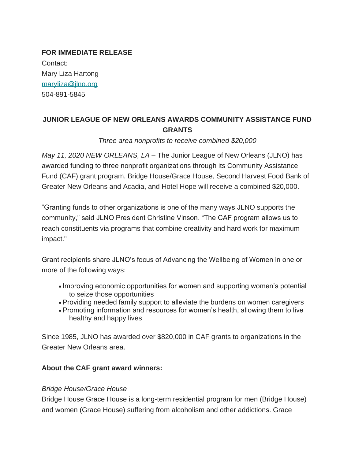**FOR IMMEDIATE RELEASE** Contact: Mary Liza Hartong [maryliza@jlno.org](mailto:maryliza@jlno.org) 504-891-5845

# **JUNIOR LEAGUE OF NEW ORLEANS AWARDS COMMUNITY ASSISTANCE FUND GRANTS**

*Three area nonprofits to receive combined \$20,000*

*May 11, 2020 NEW ORLEANS, LA* – The Junior League of New Orleans (JLNO) has awarded funding to three nonprofit organizations through its Community Assistance Fund (CAF) grant program. Bridge House/Grace House, Second Harvest Food Bank of Greater New Orleans and Acadia, and Hotel Hope will receive a combined \$20,000.

"Granting funds to other organizations is one of the many ways JLNO supports the community," said JLNO President Christine Vinson. "The CAF program allows us to reach constituents via programs that combine creativity and hard work for maximum impact."

Grant recipients share JLNO's focus of Advancing the Wellbeing of Women in one or more of the following ways:

- Improving economic opportunities for women and supporting women's potential to seize those opportunities
- Providing needed family support to alleviate the burdens on women caregivers
- Promoting information and resources for women's health, allowing them to live healthy and happy lives

Since 1985, JLNO has awarded over \$820,000 in CAF grants to organizations in the Greater New Orleans area.

### **About the CAF grant award winners:**

### *Bridge House/Grace House*

Bridge House Grace House is a long-term residential program for men (Bridge House) and women (Grace House) suffering from alcoholism and other addictions. Grace